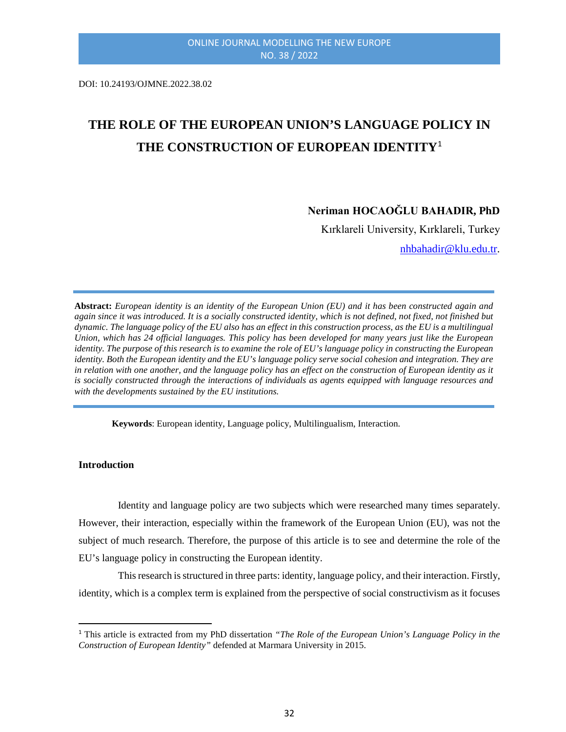DOI: 10.24193/OJMNE.2022.38.02

# **THE ROLE OF THE EUROPEAN UNION'S LANGUAGE POLICY IN THE CONSTRUCTION OF EUROPEAN IDENTITY**[1](#page-0-0)

# **Neriman HOCAOĞLU BAHADIR, PhD**

Kırklareli University, Kırklareli, Turkey

[nhbahadir@klu.edu.tr.](mailto:nhbahadir@klu.edu.tr)

**Abstract:** *European identity is an identity of the European Union (EU) and it has been constructed again and again since it was introduced. It is a socially constructed identity, which is not defined, not fixed, not finished but dynamic. The language policy of the EU also has an effect in this construction process, as the EU is a multilingual Union, which has 24 official languages. This policy has been developed for many years just like the European identity. The purpose of this research is to examine the role of EU's language policy in constructing the European identity. Both the European identity and the EU's language policy serve social cohesion and integration. They are in relation with one another, and the language policy has an effect on the construction of European identity as it is socially constructed through the interactions of individuals as agents equipped with language resources and with the developments sustained by the EU institutions.*

**Keywords**: European identity, Language policy, Multilingualism, Interaction.

**Introduction**

Identity and language policy are two subjects which were researched many times separately. However, their interaction, especially within the framework of the European Union (EU), was not the subject of much research. Therefore, the purpose of this article is to see and determine the role of the EU's language policy in constructing the European identity.

This research is structured in three parts: identity, language policy, and their interaction. Firstly, identity, which is a complex term is explained from the perspective of social constructivism as it focuses

<span id="page-0-0"></span> <sup>1</sup> This article is extracted from my PhD dissertation *"The Role of the European Union's Language Policy in the Construction of European Identity"* defended at Marmara University in 2015.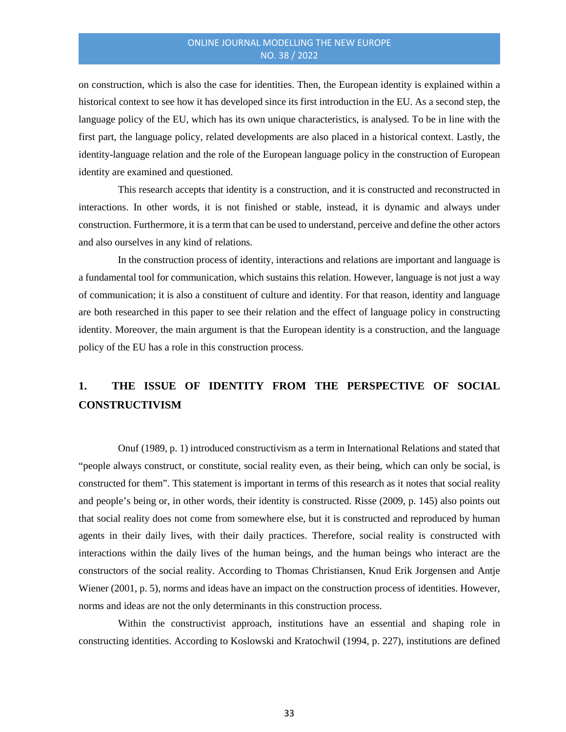on construction, which is also the case for identities. Then, the European identity is explained within a historical context to see how it has developed since its first introduction in the EU. As a second step, the language policy of the EU, which has its own unique characteristics, is analysed. To be in line with the first part, the language policy, related developments are also placed in a historical context. Lastly, the identity-language relation and the role of the European language policy in the construction of European identity are examined and questioned.

This research accepts that identity is a construction, and it is constructed and reconstructed in interactions. In other words, it is not finished or stable, instead, it is dynamic and always under construction. Furthermore, it is a term that can be used to understand, perceive and define the other actors and also ourselves in any kind of relations.

In the construction process of identity, interactions and relations are important and language is a fundamental tool for communication, which sustains this relation. However, language is not just a way of communication; it is also a constituent of culture and identity. For that reason, identity and language are both researched in this paper to see their relation and the effect of language policy in constructing identity. Moreover, the main argument is that the European identity is a construction, and the language policy of the EU has a role in this construction process.

# **1. THE ISSUE OF IDENTITY FROM THE PERSPECTIVE OF SOCIAL CONSTRUCTIVISM**

Onuf (1989, p. 1) introduced constructivism as a term in International Relations and stated that "people always construct, or constitute, social reality even, as their being, which can only be social, is constructed for them". This statement is important in terms of this research as it notes that social reality and people's being or, in other words, their identity is constructed. Risse (2009, p. 145) also points out that social reality does not come from somewhere else, but it is constructed and reproduced by human agents in their daily lives, with their daily practices. Therefore, social reality is constructed with interactions within the daily lives of the human beings, and the human beings who interact are the constructors of the social reality. According to Thomas Christiansen, Knud Erik Jorgensen and Antje Wiener (2001, p. 5), norms and ideas have an impact on the construction process of identities. However, norms and ideas are not the only determinants in this construction process.

Within the constructivist approach, institutions have an essential and shaping role in constructing identities. According to Koslowski and Kratochwil (1994, p. 227), institutions are defined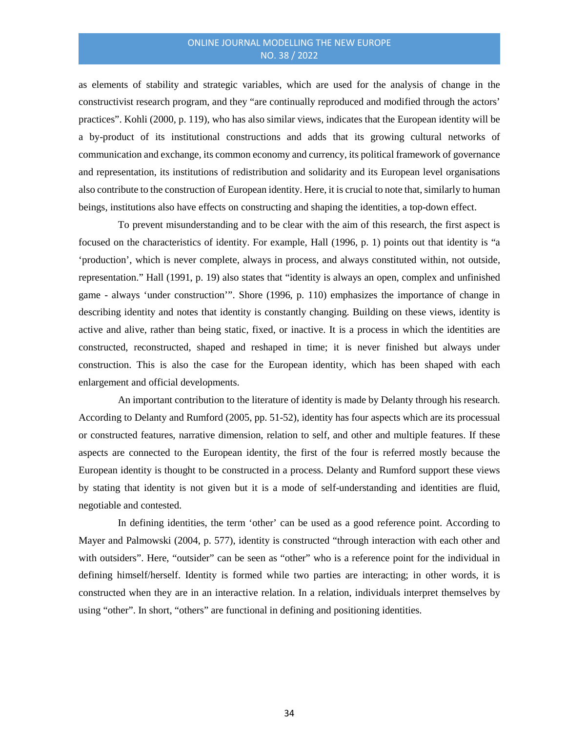as elements of stability and strategic variables, which are used for the analysis of change in the constructivist research program, and they "are continually reproduced and modified through the actors' practices". Kohli (2000, p. 119), who has also similar views, indicates that the European identity will be a by-product of its institutional constructions and adds that its growing cultural networks of communication and exchange, its common economy and currency, its political framework of governance and representation, its institutions of redistribution and solidarity and its European level organisations also contribute to the construction of European identity. Here, it is crucial to note that,similarly to human beings, institutions also have effects on constructing and shaping the identities, a top-down effect.

To prevent misunderstanding and to be clear with the aim of this research, the first aspect is focused on the characteristics of identity. For example, Hall (1996, p. 1) points out that identity is "a 'production', which is never complete, always in process, and always constituted within, not outside, representation." Hall (1991, p. 19) also states that "identity is always an open, complex and unfinished game - always 'under construction'". Shore (1996, p. 110) emphasizes the importance of change in describing identity and notes that identity is constantly changing. Building on these views, identity is active and alive, rather than being static, fixed, or inactive. It is a process in which the identities are constructed, reconstructed, shaped and reshaped in time; it is never finished but always under construction. This is also the case for the European identity, which has been shaped with each enlargement and official developments.

An important contribution to the literature of identity is made by Delanty through his research. According to Delanty and Rumford (2005, pp. 51-52), identity has four aspects which are its processual or constructed features, narrative dimension, relation to self, and other and multiple features. If these aspects are connected to the European identity, the first of the four is referred mostly because the European identity is thought to be constructed in a process. Delanty and Rumford support these views by stating that identity is not given but it is a mode of self-understanding and identities are fluid, negotiable and contested.

In defining identities, the term 'other' can be used as a good reference point. According to Mayer and Palmowski (2004, p. 577), identity is constructed "through interaction with each other and with outsiders". Here, "outsider" can be seen as "other" who is a reference point for the individual in defining himself/herself. Identity is formed while two parties are interacting; in other words, it is constructed when they are in an interactive relation. In a relation, individuals interpret themselves by using "other". In short, "others" are functional in defining and positioning identities.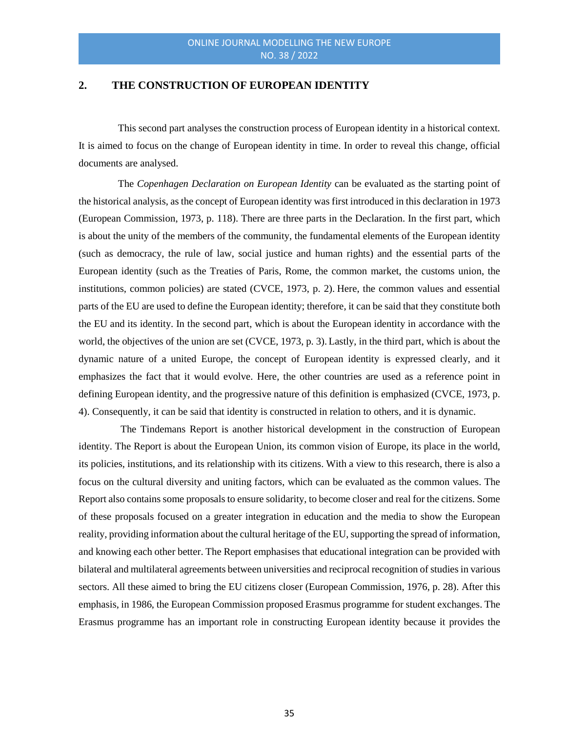#### **2. THE CONSTRUCTION OF EUROPEAN IDENTITY**

This second part analyses the construction process of European identity in a historical context. It is aimed to focus on the change of European identity in time. In order to reveal this change, official documents are analysed.

The *Copenhagen Declaration on European Identity* can be evaluated as the starting point of the historical analysis, as the concept of European identity was first introduced in this declaration in 1973 (European Commission, 1973, p. 118). There are three parts in the Declaration. In the first part, which is about the unity of the members of the community, the fundamental elements of the European identity (such as democracy, the rule of law, social justice and human rights) and the essential parts of the European identity (such as the Treaties of Paris, Rome, the common market, the customs union, the institutions, common policies) are stated (CVCE, 1973, p. 2). Here, the common values and essential parts of the EU are used to define the European identity; therefore, it can be said that they constitute both the EU and its identity. In the second part, which is about the European identity in accordance with the world, the objectives of the union are set (CVCE, 1973, p. 3).Lastly, in the third part, which is about the dynamic nature of a united Europe, the concept of European identity is expressed clearly, and it emphasizes the fact that it would evolve. Here, the other countries are used as a reference point in defining European identity, and the progressive nature of this definition is emphasized (CVCE, 1973, p. 4). Consequently, it can be said that identity is constructed in relation to others, and it is dynamic.

The Tindemans Report is another historical development in the construction of European identity. The Report is about the European Union, its common vision of Europe, its place in the world, its policies, institutions, and its relationship with its citizens. With a view to this research, there is also a focus on the cultural diversity and uniting factors, which can be evaluated as the common values. The Report also contains some proposals to ensure solidarity, to become closer and real for the citizens. Some of these proposals focused on a greater integration in education and the media to show the European reality, providing information about the cultural heritage of the EU, supporting the spread of information, and knowing each other better. The Report emphasises that educational integration can be provided with bilateral and multilateral agreements between universities and reciprocal recognition of studies in various sectors. All these aimed to bring the EU citizens closer (European Commission, 1976, p. 28). After this emphasis, in 1986, the European Commission proposed Erasmus programme for student exchanges. The Erasmus programme has an important role in constructing European identity because it provides the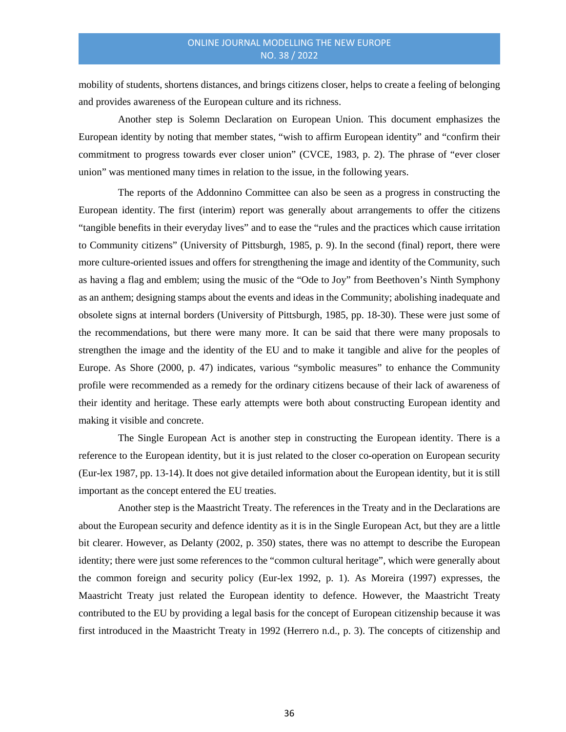mobility of students, shortens distances, and brings citizens closer, helps to create a feeling of belonging and provides awareness of the European culture and its richness.

Another step is Solemn Declaration on European Union. This document emphasizes the European identity by noting that member states, "wish to affirm European identity" and "confirm their commitment to progress towards ever closer union" (CVCE, 1983, p. 2). The phrase of "ever closer union" was mentioned many times in relation to the issue, in the following years.

The reports of the Addonnino Committee can also be seen as a progress in constructing the European identity. The first (interim) report was generally about arrangements to offer the citizens "tangible benefits in their everyday lives" and to ease the "rules and the practices which cause irritation to Community citizens" (University of Pittsburgh, 1985, p. 9). In the second (final) report, there were more culture-oriented issues and offers for strengthening the image and identity of the Community, such as having a flag and emblem; using the music of the "Ode to Joy" from Beethoven's Ninth Symphony as an anthem; designing stamps about the events and ideas in the Community; abolishing inadequate and obsolete signs at internal borders (University of Pittsburgh, 1985, pp. 18-30). These were just some of the recommendations, but there were many more. It can be said that there were many proposals to strengthen the image and the identity of the EU and to make it tangible and alive for the peoples of Europe. As Shore (2000, p. 47) indicates, various "symbolic measures" to enhance the Community profile were recommended as a remedy for the ordinary citizens because of their lack of awareness of their identity and heritage. These early attempts were both about constructing European identity and making it visible and concrete.

The Single European Act is another step in constructing the European identity. There is a reference to the European identity, but it is just related to the closer co-operation on European security (Eur-lex 1987, pp. 13-14).It does not give detailed information about the European identity, but it is still important as the concept entered the EU treaties.

Another step is the Maastricht Treaty. The references in the Treaty and in the Declarations are about the European security and defence identity as it is in the Single European Act, but they are a little bit clearer. However, as Delanty (2002, p. 350) states, there was no attempt to describe the European identity; there were just some references to the "common cultural heritage", which were generally about the common foreign and security policy (Eur-lex 1992, p. 1). As Moreira (1997) expresses, the Maastricht Treaty just related the European identity to defence. However, the Maastricht Treaty contributed to the EU by providing a legal basis for the concept of European citizenship because it was first introduced in the Maastricht Treaty in 1992 (Herrero n.d., p. 3). The concepts of citizenship and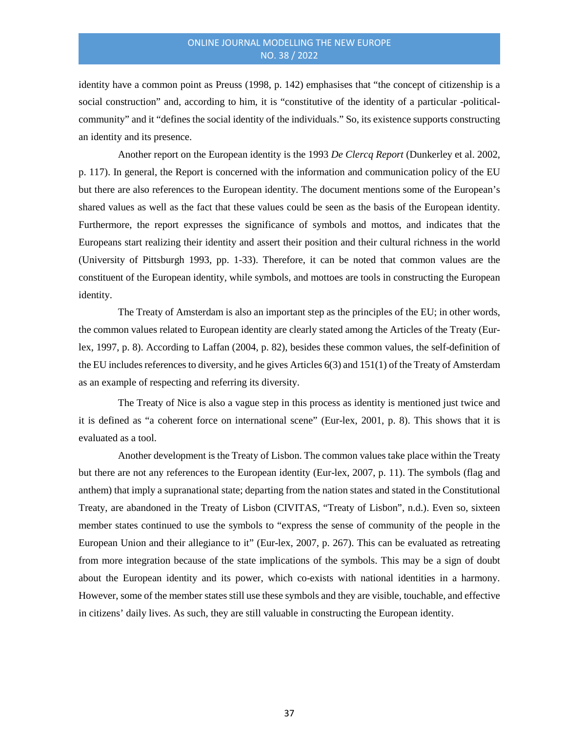identity have a common point as Preuss (1998, p. 142) emphasises that "the concept of citizenship is a social construction" and, according to him, it is "constitutive of the identity of a particular -politicalcommunity" and it "defines the social identity of the individuals." So, its existence supports constructing an identity and its presence.

Another report on the European identity is the 1993 *De Clercq Report* (Dunkerley et al. 2002, p. 117). In general, the Report is concerned with the information and communication policy of the EU but there are also references to the European identity. The document mentions some of the European's shared values as well as the fact that these values could be seen as the basis of the European identity. Furthermore, the report expresses the significance of symbols and mottos, and indicates that the Europeans start realizing their identity and assert their position and their cultural richness in the world (University of Pittsburgh 1993, pp. 1-33). Therefore, it can be noted that common values are the constituent of the European identity, while symbols, and mottoes are tools in constructing the European identity.

The Treaty of Amsterdam is also an important step as the principles of the EU; in other words, the common values related to European identity are clearly stated among the Articles of the Treaty (Eurlex, 1997, p. 8). According to Laffan (2004, p. 82), besides these common values, the self-definition of the EU includes references to diversity, and he gives Articles 6(3) and 151(1) of the Treaty of Amsterdam as an example of respecting and referring its diversity.

The Treaty of Nice is also a vague step in this process as identity is mentioned just twice and it is defined as "a coherent force on international scene" (Eur-lex, 2001, p. 8). This shows that it is evaluated as a tool.

Another development is the Treaty of Lisbon. The common values take place within the Treaty but there are not any references to the European identity (Eur-lex, 2007, p. 11). The symbols (flag and anthem) that imply a supranational state; departing from the nation states and stated in the Constitutional Treaty, are abandoned in the Treaty of Lisbon (CIVITAS, "Treaty of Lisbon", n.d.). Even so, sixteen member states continued to use the symbols to "express the sense of community of the people in the European Union and their allegiance to it" (Eur-lex, 2007, p. 267). This can be evaluated as retreating from more integration because of the state implications of the symbols. This may be a sign of doubt about the European identity and its power, which co-exists with national identities in a harmony. However, some of the member states still use these symbols and they are visible, touchable, and effective in citizens' daily lives. As such, they are still valuable in constructing the European identity.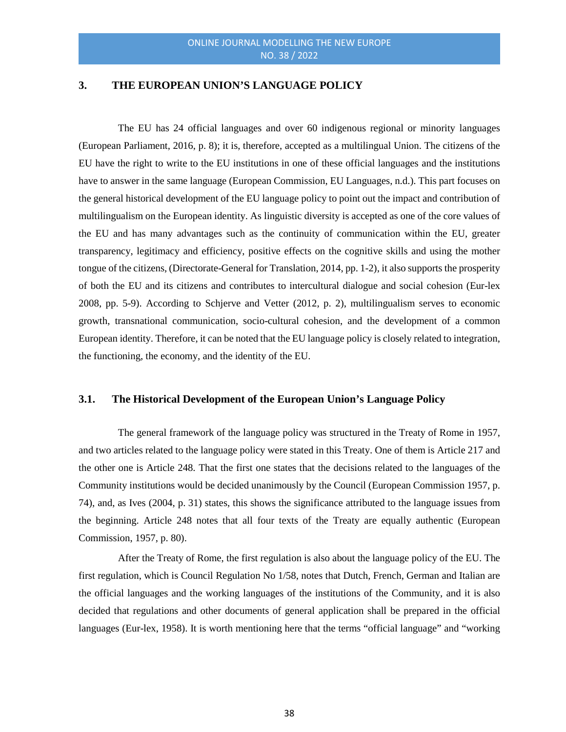#### **3. THE EUROPEAN UNION'S LANGUAGE POLICY**

The EU has 24 official languages and over 60 indigenous regional or minority languages (European Parliament, 2016, p. 8); it is, therefore, accepted as a multilingual Union. The citizens of the EU have the right to write to the EU institutions in one of these official languages and the institutions have to answer in the same language (European Commission, EU Languages, n.d.). This part focuses on the general historical development of the EU language policy to point out the impact and contribution of multilingualism on the European identity. As linguistic diversity is accepted as one of the core values of the EU and has many advantages such as the continuity of communication within the EU, greater transparency, legitimacy and efficiency, positive effects on the cognitive skills and using the mother tongue of the citizens, (Directorate-General for Translation, 2014, pp. 1-2), it also supports the prosperity of both the EU and its citizens and contributes to intercultural dialogue and social cohesion (Eur-lex 2008, pp. 5-9). According to Schjerve and Vetter (2012, p. 2), multilingualism serves to economic growth, transnational communication, socio-cultural cohesion, and the development of a common European identity. Therefore, it can be noted that the EU language policy is closely related to integration, the functioning, the economy, and the identity of the EU.

# **3.1. The Historical Development of the European Union's Language Policy**

The general framework of the language policy was structured in the Treaty of Rome in 1957, and two articles related to the language policy were stated in this Treaty. One of them is Article 217 and the other one is Article 248. That the first one states that the decisions related to the languages of the Community institutions would be decided unanimously by the Council (European Commission 1957, p. 74), and, as Ives (2004, p. 31) states, this shows the significance attributed to the language issues from the beginning. Article 248 notes that all four texts of the Treaty are equally authentic (European Commission, 1957, p. 80).

After the Treaty of Rome, the first regulation is also about the language policy of the EU. The first regulation, which is Council Regulation No 1/58, notes that Dutch, French, German and Italian are the official languages and the working languages of the institutions of the Community, and it is also decided that regulations and other documents of general application shall be prepared in the official languages (Eur-lex, 1958). It is worth mentioning here that the terms "official language" and "working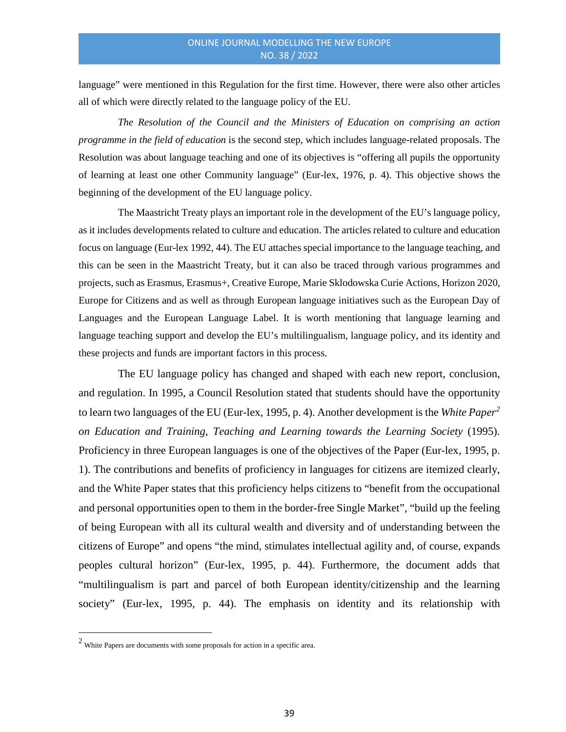language" were mentioned in this Regulation for the first time. However, there were also other articles all of which were directly related to the language policy of the EU.

*The Resolution of the Council and the Ministers of Education on comprising an action programme in the field of education* is the second step, which includes language-related proposals. The Resolution was about language teaching and one of its objectives is "offering all pupils the opportunity of learning at least one other Community language" (Eur-lex, 1976, p. 4). This objective shows the beginning of the development of the EU language policy.

The Maastricht Treaty plays an important role in the development of the EU's language policy, as it includes developments related to culture and education. The articles related to culture and education focus on language (Eur-lex 1992, 44). The EU attaches special importance to the language teaching, and this can be seen in the Maastricht Treaty, but it can also be traced through various programmes and projects, such as Erasmus, Erasmus+, Creative Europe, Marie Sklodowska Curie Actions, Horizon 2020, Europe for Citizens and as well as through European language initiatives such as the European Day of Languages and the European Language Label. It is worth mentioning that language learning and language teaching support and develop the EU's multilingualism, language policy, and its identity and these projects and funds are important factors in this process.

The EU language policy has changed and shaped with each new report, conclusion, and regulation. In 1995, a Council Resolution stated that students should have the opportunity to learn two languages of the EU (Eur-lex, 1995, p. 4). Another development is the *White Paper[2](#page-7-0) on Education and Training, Teaching and Learning towards the Learning Society* (1995). Proficiency in three European languages is one of the objectives of the Paper (Eur-lex, 1995, p. 1). The contributions and benefits of proficiency in languages for citizens are itemized clearly, and the White Paper states that this proficiency helps citizens to "benefit from the occupational and personal opportunities open to them in the border-free Single Market", "build up the feeling of being European with all its cultural wealth and diversity and of understanding between the citizens of Europe" and opens "the mind, stimulates intellectual agility and, of course, expands peoples cultural horizon" (Eur-lex, 1995, p. 44). Furthermore, the document adds that "multilingualism is part and parcel of both European identity/citizenship and the learning society" (Eur-lex, 1995, p. 44). The emphasis on identity and its relationship with

<u>.</u>

<span id="page-7-0"></span> $2$  White Papers are documents with some proposals for action in a specific area.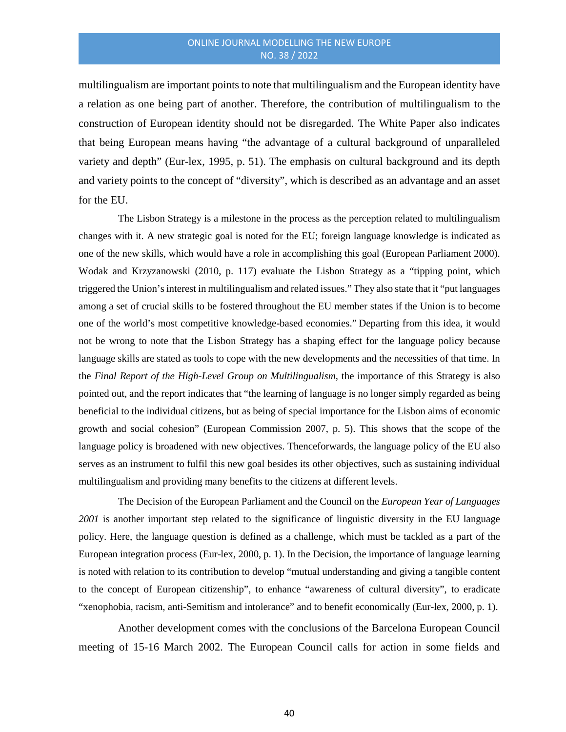multilingualism are important points to note that multilingualism and the European identity have a relation as one being part of another. Therefore, the contribution of multilingualism to the construction of European identity should not be disregarded. The White Paper also indicates that being European means having "the advantage of a cultural background of unparalleled variety and depth" (Eur-lex, 1995, p. 51). The emphasis on cultural background and its depth and variety points to the concept of "diversity", which is described as an advantage and an asset for the EU.

The Lisbon Strategy is a milestone in the process as the perception related to multilingualism changes with it. A new strategic goal is noted for the EU; foreign language knowledge is indicated as one of the new skills, which would have a role in accomplishing this goal (European Parliament 2000). Wodak and Krzyzanowski (2010, p. 117) evaluate the Lisbon Strategy as a "tipping point, which triggered the Union's interest in multilingualism and related issues." They also state that it "put languages among a set of crucial skills to be fostered throughout the EU member states if the Union is to become one of the world's most competitive knowledge-based economies." Departing from this idea, it would not be wrong to note that the Lisbon Strategy has a shaping effect for the language policy because language skills are stated as tools to cope with the new developments and the necessities of that time. In the *Final Report of the High-Level Group on Multilingualism,* the importance of this Strategy is also pointed out, and the report indicates that "the learning of language is no longer simply regarded as being beneficial to the individual citizens, but as being of special importance for the Lisbon aims of economic growth and social cohesion" (European Commission 2007, p. 5). This shows that the scope of the language policy is broadened with new objectives. Thenceforwards, the language policy of the EU also serves as an instrument to fulfil this new goal besides its other objectives, such as sustaining individual multilingualism and providing many benefits to the citizens at different levels.

The Decision of the European Parliament and the Council on the *European Year of Languages 2001* is another important step related to the significance of linguistic diversity in the EU language policy. Here, the language question is defined as a challenge, which must be tackled as a part of the European integration process (Eur-lex, 2000, p. 1). In the Decision, the importance of language learning is noted with relation to its contribution to develop "mutual understanding and giving a tangible content to the concept of European citizenship", to enhance "awareness of cultural diversity", to eradicate "xenophobia, racism, anti-Semitism and intolerance" and to benefit economically (Eur-lex, 2000, p. 1).

Another development comes with the conclusions of the Barcelona European Council meeting of 15-16 March 2002. The European Council calls for action in some fields and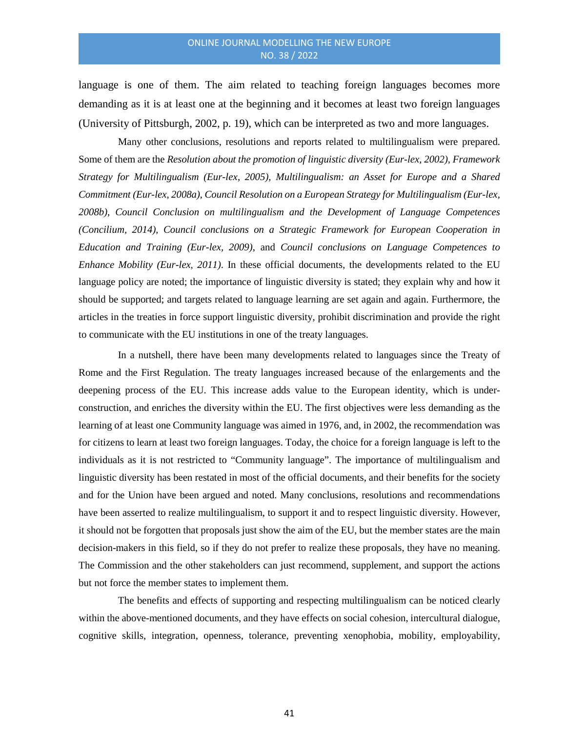language is one of them. The aim related to teaching foreign languages becomes more demanding as it is at least one at the beginning and it becomes at least two foreign languages (University of Pittsburgh, 2002, p. 19), which can be interpreted as two and more languages.

Many other conclusions, resolutions and reports related to multilingualism were prepared. Some of them are the *Resolution about the promotion of linguistic diversity (Eur-lex, 2002), Framework Strategy for Multilingualism (Eur-lex, 2005), Multilingualism: an Asset for Europe and a Shared Commitment (Eur-lex, 2008a)*, *Council Resolution on a European Strategy for Multilingualism (Eur-lex, 2008b), Council Conclusion on multilingualism and the Development of Language Competences (Concilium, 2014)*, *Council conclusions on a Strategic Framework for European Cooperation in Education and Training (Eur-lex, 2009)*, and *Council conclusions on Language Competences to Enhance Mobility (Eur-lex, 2011)*. In these official documents, the developments related to the EU language policy are noted; the importance of linguistic diversity is stated; they explain why and how it should be supported; and targets related to language learning are set again and again. Furthermore, the articles in the treaties in force support linguistic diversity, prohibit discrimination and provide the right to communicate with the EU institutions in one of the treaty languages.

In a nutshell, there have been many developments related to languages since the Treaty of Rome and the First Regulation. The treaty languages increased because of the enlargements and the deepening process of the EU. This increase adds value to the European identity, which is underconstruction, and enriches the diversity within the EU. The first objectives were less demanding as the learning of at least one Community language was aimed in 1976, and, in 2002, the recommendation was for citizens to learn at least two foreign languages. Today, the choice for a foreign language is left to the individuals as it is not restricted to "Community language". The importance of multilingualism and linguistic diversity has been restated in most of the official documents, and their benefits for the society and for the Union have been argued and noted. Many conclusions, resolutions and recommendations have been asserted to realize multilingualism, to support it and to respect linguistic diversity. However, it should not be forgotten that proposals just show the aim of the EU, but the member states are the main decision-makers in this field, so if they do not prefer to realize these proposals, they have no meaning. The Commission and the other stakeholders can just recommend, supplement, and support the actions but not force the member states to implement them.

The benefits and effects of supporting and respecting multilingualism can be noticed clearly within the above-mentioned documents, and they have effects on social cohesion, intercultural dialogue, cognitive skills, integration, openness, tolerance, preventing xenophobia, mobility, employability,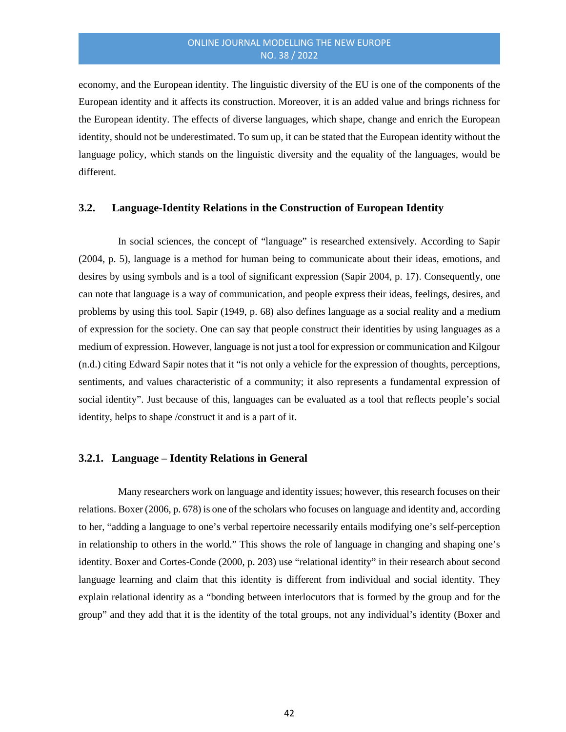economy, and the European identity. The linguistic diversity of the EU is one of the components of the European identity and it affects its construction. Moreover, it is an added value and brings richness for the European identity. The effects of diverse languages, which shape, change and enrich the European identity, should not be underestimated. To sum up, it can be stated that the European identity without the language policy, which stands on the linguistic diversity and the equality of the languages, would be different.

#### **3.2. Language-Identity Relations in the Construction of European Identity**

In social sciences, the concept of "language" is researched extensively. According to Sapir (2004, p. 5), language is a method for human being to communicate about their ideas, emotions, and desires by using symbols and is a tool of significant expression (Sapir 2004, p. 17). Consequently, one can note that language is a way of communication, and people express their ideas, feelings, desires, and problems by using this tool. Sapir (1949, p. 68) also defines language as a social reality and a medium of expression for the society. One can say that people construct their identities by using languages as a medium of expression. However, language is not just a tool for expression or communication and Kilgour (n.d.) citing Edward Sapir notes that it "is not only a vehicle for the expression of thoughts, perceptions, sentiments, and values characteristic of a community; it also represents a fundamental expression of social identity". Just because of this, languages can be evaluated as a tool that reflects people's social identity, helps to shape /construct it and is a part of it.

#### **3.2.1. Language – Identity Relations in General**

Many researchers work on language and identity issues; however, this research focuses on their relations. Boxer (2006, p. 678) is one of the scholars who focuses on language and identity and, according to her, "adding a language to one's verbal repertoire necessarily entails modifying one's self-perception in relationship to others in the world." This shows the role of language in changing and shaping one's identity. Boxer and Cortes-Conde (2000, p. 203) use "relational identity" in their research about second language learning and claim that this identity is different from individual and social identity. They explain relational identity as a "bonding between interlocutors that is formed by the group and for the group" and they add that it is the identity of the total groups, not any individual's identity (Boxer and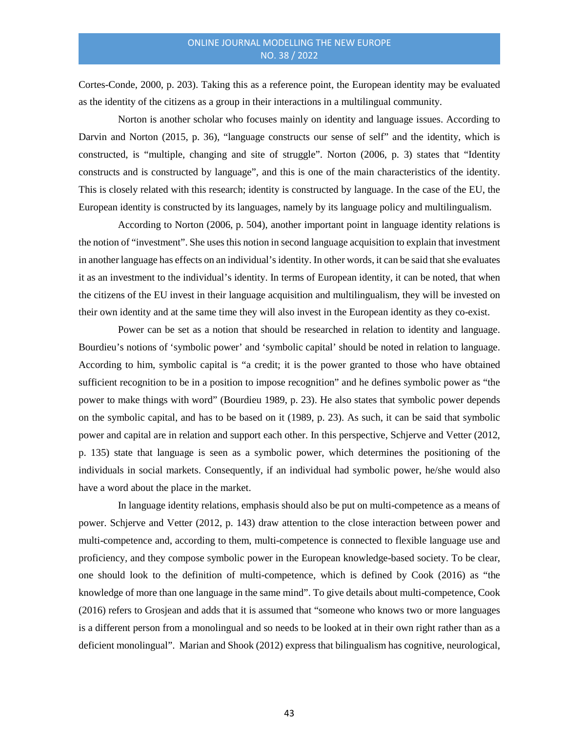Cortes-Conde, 2000, p. 203). Taking this as a reference point, the European identity may be evaluated as the identity of the citizens as a group in their interactions in a multilingual community.

Norton is another scholar who focuses mainly on identity and language issues. According to Darvin and Norton (2015, p. 36), "language constructs our sense of self" and the identity, which is constructed, is "multiple, changing and site of struggle". Norton (2006, p. 3) states that "Identity constructs and is constructed by language", and this is one of the main characteristics of the identity. This is closely related with this research; identity is constructed by language. In the case of the EU, the European identity is constructed by its languages, namely by its language policy and multilingualism.

According to Norton (2006, p. 504), another important point in language identity relations is the notion of "investment". She uses this notion in second language acquisition to explain that investment in another language has effects on an individual's identity. In other words, it can be said that she evaluates it as an investment to the individual's identity. In terms of European identity, it can be noted, that when the citizens of the EU invest in their language acquisition and multilingualism, they will be invested on their own identity and at the same time they will also invest in the European identity as they co-exist.

Power can be set as a notion that should be researched in relation to identity and language. Bourdieu's notions of 'symbolic power' and 'symbolic capital' should be noted in relation to language. According to him, symbolic capital is "a credit; it is the power granted to those who have obtained sufficient recognition to be in a position to impose recognition" and he defines symbolic power as "the power to make things with word" (Bourdieu 1989, p. 23). He also states that symbolic power depends on the symbolic capital, and has to be based on it (1989, p. 23). As such, it can be said that symbolic power and capital are in relation and support each other. In this perspective, Schjerve and Vetter (2012, p. 135) state that language is seen as a symbolic power, which determines the positioning of the individuals in social markets. Consequently, if an individual had symbolic power, he/she would also have a word about the place in the market.

In language identity relations, emphasis should also be put on multi-competence as a means of power. Schjerve and Vetter (2012, p. 143) draw attention to the close interaction between power and multi-competence and, according to them, multi-competence is connected to flexible language use and proficiency, and they compose symbolic power in the European knowledge-based society. To be clear, one should look to the definition of multi-competence, which is defined by Cook (2016) as "the knowledge of more than one language in the same mind". To give details about multi-competence, Cook (2016) refers to Grosjean and adds that it is assumed that "someone who knows two or more languages is a different person from a monolingual and so needs to be looked at in their own right rather than as a deficient monolingual". Marian and Shook (2012) express that bilingualism has cognitive, neurological,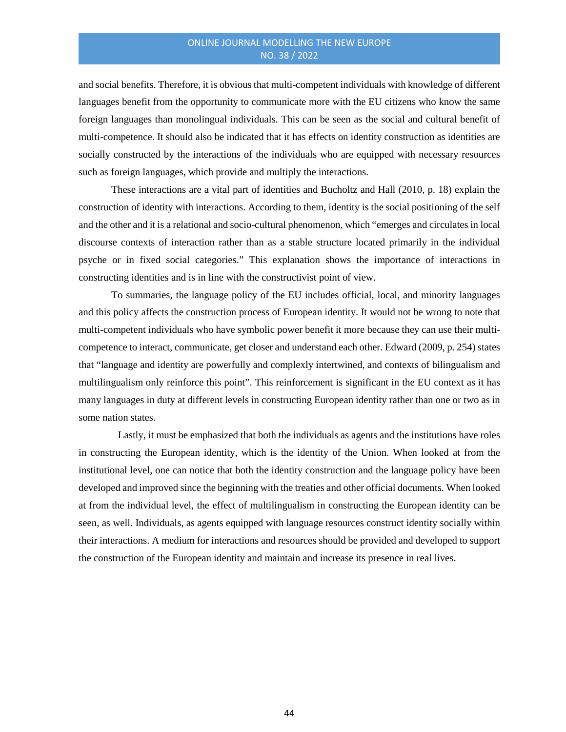and social benefits. Therefore, it is obvious that multi-competent individuals with knowledge of different languages benefit from the opportunity to communicate more with the EU citizens who know the same foreign languages than monolingual individuals. This can be seen as the social and cultural benefit of multi-competence. It should also be indicated that it has effects on identity construction as identities are socially constructed by the interactions of the individuals who are equipped with necessary resources such as foreign languages, which provide and multiply the interactions.

These interactions are a vital part of identities and Bucholtz and Hall (2010, p. 18) explain the construction of identity with interactions. According to them, identity is the social positioning of the self and the other and it is a relational and socio-cultural phenomenon, which "emerges and circulates in local discourse contexts of interaction rather than as a stable structure located primarily in the individual psyche or in fixed social categories." This explanation shows the importance of interactions in constructing identities and is in line with the constructivist point of view.

To summaries, the language policy of the EU includes official, local, and minority languages and this policy affects the construction process of European identity. It would not be wrong to note that multi-competent individuals who have symbolic power benefit it more because they can use their multicompetence to interact, communicate, get closer and understand each other. Edward (2009, p. 254) states that "language and identity are powerfully and complexly intertwined, and contexts of bilingualism and multilingualism only reinforce this point". This reinforcement is significant in the EU context as it has many languages in duty at different levels in constructing European identity rather than one or two as in some nation states.

Lastly, it must be emphasized that both the individuals as agents and the institutions have roles in constructing the European identity, which is the identity of the Union. When looked at from the institutional level, one can notice that both the identity construction and the language policy have been developed and improved since the beginning with the treaties and other official documents. When looked at from the individual level, the effect of multilingualism in constructing the European identity can be seen, as well. Individuals, as agents equipped with language resources construct identity socially within their interactions. A medium for interactions and resources should be provided and developed to support the construction of the European identity and maintain and increase its presence in real lives.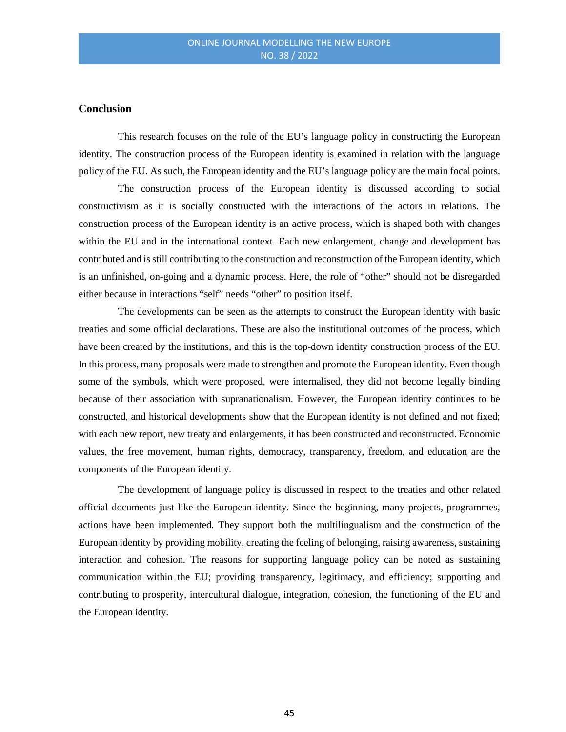#### **Conclusion**

This research focuses on the role of the EU's language policy in constructing the European identity. The construction process of the European identity is examined in relation with the language policy of the EU. As such, the European identity and the EU's language policy are the main focal points.

The construction process of the European identity is discussed according to social constructivism as it is socially constructed with the interactions of the actors in relations. The construction process of the European identity is an active process, which is shaped both with changes within the EU and in the international context. Each new enlargement, change and development has contributed and is still contributing to the construction and reconstruction of the European identity, which is an unfinished, on-going and a dynamic process. Here, the role of "other" should not be disregarded either because in interactions "self" needs "other" to position itself.

The developments can be seen as the attempts to construct the European identity with basic treaties and some official declarations. These are also the institutional outcomes of the process, which have been created by the institutions, and this is the top-down identity construction process of the EU. In this process, many proposals were made to strengthen and promote the European identity. Even though some of the symbols, which were proposed, were internalised, they did not become legally binding because of their association with supranationalism. However, the European identity continues to be constructed, and historical developments show that the European identity is not defined and not fixed; with each new report, new treaty and enlargements, it has been constructed and reconstructed. Economic values, the free movement, human rights, democracy, transparency, freedom, and education are the components of the European identity.

The development of language policy is discussed in respect to the treaties and other related official documents just like the European identity. Since the beginning, many projects, programmes, actions have been implemented. They support both the multilingualism and the construction of the European identity by providing mobility, creating the feeling of belonging, raising awareness, sustaining interaction and cohesion. The reasons for supporting language policy can be noted as sustaining communication within the EU; providing transparency, legitimacy, and efficiency; supporting and contributing to prosperity, intercultural dialogue, integration, cohesion, the functioning of the EU and the European identity.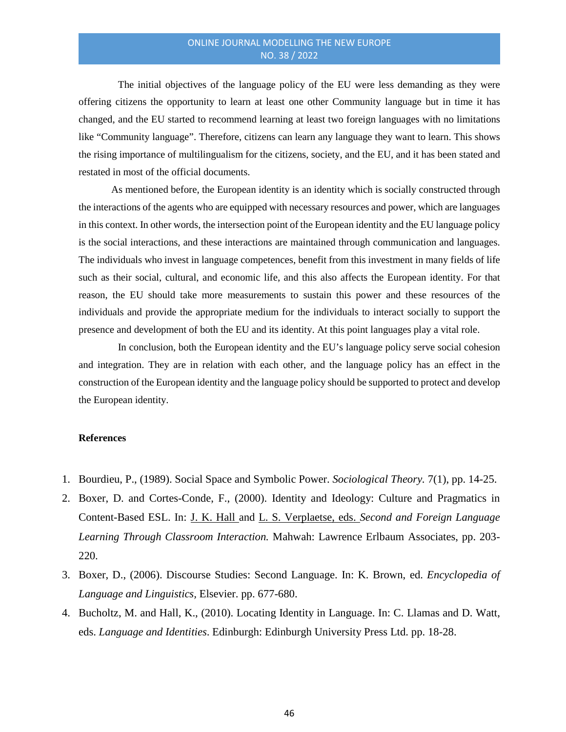The initial objectives of the language policy of the EU were less demanding as they were offering citizens the opportunity to learn at least one other Community language but in time it has changed, and the EU started to recommend learning at least two foreign languages with no limitations like "Community language". Therefore, citizens can learn any language they want to learn. This shows the rising importance of multilingualism for the citizens, society, and the EU, and it has been stated and restated in most of the official documents.

As mentioned before, the European identity is an identity which is socially constructed through the interactions of the agents who are equipped with necessary resources and power, which are languages in this context. In other words, the intersection point of the European identity and the EU language policy is the social interactions, and these interactions are maintained through communication and languages. The individuals who invest in language competences, benefit from this investment in many fields of life such as their social, cultural, and economic life, and this also affects the European identity. For that reason, the EU should take more measurements to sustain this power and these resources of the individuals and provide the appropriate medium for the individuals to interact socially to support the presence and development of both the EU and its identity. At this point languages play a vital role.

In conclusion, both the European identity and the EU's language policy serve social cohesion and integration. They are in relation with each other, and the language policy has an effect in the construction of the European identity and the language policy should be supported to protect and develop the European identity.

#### **References**

- 1. Bourdieu, P., (1989). Social Space and Symbolic Power. *Sociological Theory.* 7(1), pp. 14-25.
- 2. Boxer, D. and Cortes-Conde, F., (2000). Identity and Ideology: Culture and Pragmatics in Content-Based ESL. In: J. K. [Hall](http://www.bokus.com/cgi-bin/product_search.cgi?authors=Joan%20Kelly%20Hall) and L. S. [Verplaetse,](http://www.bokus.com/cgi-bin/product_search.cgi?authors=Lorrie%20Stoops%20Verplaetse) eds. *Second and Foreign Language Learning Through Classroom Interaction.* Mahwah: Lawrence Erlbaum Associates, pp. 203- 220.
- 3. Boxer, D., (2006). Discourse Studies: Second Language. In: K. Brown, ed. *Encyclopedia of Language and Linguistics,* Elsevier. pp. 677-680.
- 4. Bucholtz, M. and Hall, K., (2010). Locating Identity in Language. In: C. Llamas and D. Watt, eds. *Language and Identities*. Edinburgh: Edinburgh University Press Ltd. pp. 18-28.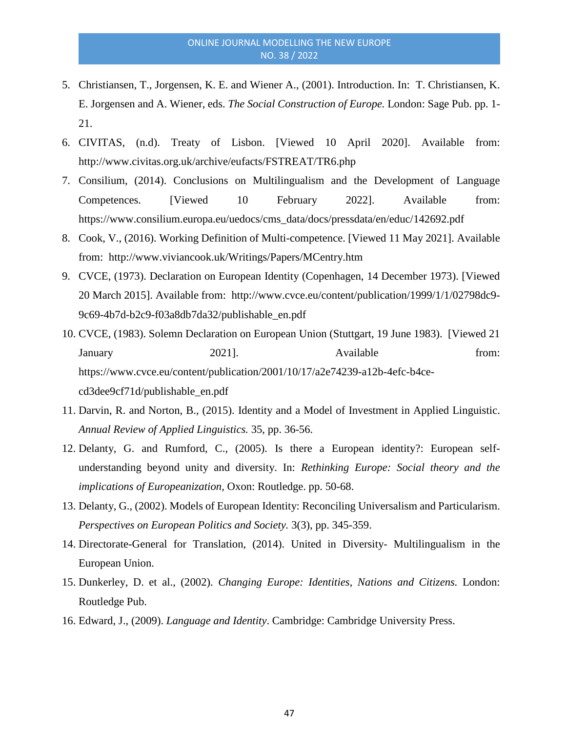- 5. Christiansen, T., Jorgensen, K. E. and Wiener A., (2001). Introduction. In: T. Christiansen, K. E. Jorgensen and A. Wiener, eds. *The Social Construction of Europe.* London: Sage Pub. pp. 1- 21.
- 6. CIVITAS, (n.d). Treaty of Lisbon. [Viewed 10 April 2020]. Available from: http://www.civitas.org.uk/archive/eufacts/FSTREAT/TR6.php
- 7. Consilium, (2014). Conclusions on Multilingualism and the Development of Language Competences. [Viewed 10 February 2022]. Available from: https://www.consilium.europa.eu/uedocs/cms\_data/docs/pressdata/en/educ/142692.pdf
- 8. Cook, V., (2016). Working Definition of Multi-competence. [Viewed 11 May 2021]. Available from: http://www.viviancook.uk/Writings/Papers/MCentry.htm
- 9. CVCE, (1973). Declaration on European Identity (Copenhagen, 14 December 1973). [Viewed 20 March 2015]. Available from: http://www.cvce.eu/content/publication/1999/1/1/02798dc9- 9c69-4b7d-b2c9-f03a8db7da32/publishable\_en.pdf
- 10. CVCE, (1983). Solemn Declaration on European Union (Stuttgart, 19 June 1983). [Viewed 21 January 2021]. Available from: https://www.cvce.eu/content/publication/2001/10/17/a2e74239-a12b-4efc-b4cecd3dee9cf71d/publishable\_en.pdf
- 11. Darvin, R. and Norton, B., (2015). Identity and a Model of Investment in Applied Linguistic. *Annual Review of Applied Linguistics.* 35, pp. 36-56.
- 12. Delanty, G. and Rumford, C., (2005). Is there a European identity?: European selfunderstanding beyond unity and diversity. In: *Rethinking Europe: Social theory and the implications of Europeanization,* Oxon: Routledge. pp. 50-68.
- 13. Delanty, G., (2002). Models of European Identity: Reconciling Universalism and Particularism. *Perspectives on European Politics and Society.* 3(3), pp. 345-359.
- 14. Directorate-General for Translation, (2014). United in Diversity- Multilingualism in the European Union.
- 15. Dunkerley, D. et al., (2002). *Changing Europe: Identities, Nations and Citizens.* London: Routledge Pub.
- 16. Edward, J., (2009). *Language and Identity*. Cambridge: Cambridge University Press.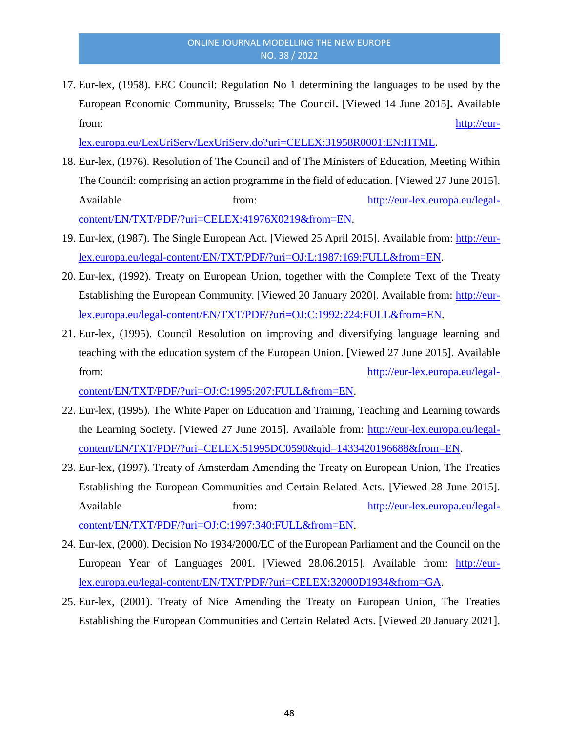17. Eur-lex, (1958). EEC Council: Regulation No 1 determining the languages to be used by the European Economic Community, Brussels: The Council**.** [Viewed 14 June 2015**].** Available from: [http://eur-](http://eur-lex.europa.eu/LexUriServ/LexUriServ.do?uri=CELEX:31958R0001:EN:HTML)

[lex.europa.eu/LexUriServ/LexUriServ.do?uri=CELEX:31958R0001:EN:HTML.](http://eur-lex.europa.eu/LexUriServ/LexUriServ.do?uri=CELEX:31958R0001:EN:HTML)

- 18. Eur-lex, (1976). Resolution of The Council and of The Ministers of Education, Meeting Within The Council: comprising an action programme in the field of education. [Viewed 27 June 2015]. Available from: from: [http://eur-lex.europa.eu/legal](http://eur-lex.europa.eu/legal-content/EN/TXT/PDF/?uri=CELEX:41976X0219&from=EN)[content/EN/TXT/PDF/?uri=CELEX:41976X0219&from=EN.](http://eur-lex.europa.eu/legal-content/EN/TXT/PDF/?uri=CELEX:41976X0219&from=EN)
- 19. Eur-lex, (1987). The Single European Act. [Viewed 25 April 2015]. Available from: [http://eur](http://eur-lex.europa.eu/legal-content/EN/TXT/PDF/?uri=OJ:L:1987:169:FULL&from=EN)[lex.europa.eu/legal-content/EN/TXT/PDF/?uri=OJ:L:1987:169:FULL&from=EN.](http://eur-lex.europa.eu/legal-content/EN/TXT/PDF/?uri=OJ:L:1987:169:FULL&from=EN)
- 20. Eur-lex, (1992). Treaty on European Union, together with the Complete Text of the Treaty Establishing the European Community. [Viewed 20 January 2020]. Available from: [http://eur](http://eur-lex.europa.eu/legal-content/EN/TXT/PDF/?uri=OJ:C:1992:224:FULL&from=EN)[lex.europa.eu/legal-content/EN/TXT/PDF/?uri=OJ:C:1992:224:FULL&from=EN.](http://eur-lex.europa.eu/legal-content/EN/TXT/PDF/?uri=OJ:C:1992:224:FULL&from=EN)
- 21. Eur-lex, (1995). Council Resolution on improving and diversifying language learning and teaching with the education system of the European Union. [Viewed 27 June 2015]. Available from: [http://eur-lex.europa.eu/legal-](http://eur-lex.europa.eu/legal-content/EN/TXT/PDF/?uri=OJ:C:1995:207:FULL&from=EN)

[content/EN/TXT/PDF/?uri=OJ:C:1995:207:FULL&from=EN.](http://eur-lex.europa.eu/legal-content/EN/TXT/PDF/?uri=OJ:C:1995:207:FULL&from=EN)

- 22. Eur-lex, (1995). The White Paper on Education and Training, Teaching and Learning towards the Learning Society. [Viewed 27 June 2015]. Available from: [http://eur-lex.europa.eu/legal](http://eur-lex.europa.eu/legal-content/EN/TXT/PDF/?uri=CELEX:51995DC0590&qid=1433420196688&from=EN)[content/EN/TXT/PDF/?uri=CELEX:51995DC0590&qid=1433420196688&from=EN.](http://eur-lex.europa.eu/legal-content/EN/TXT/PDF/?uri=CELEX:51995DC0590&qid=1433420196688&from=EN)
- 23. Eur-lex, (1997). Treaty of Amsterdam Amending the Treaty on European Union, The Treaties Establishing the European Communities and Certain Related Acts. [Viewed 28 June 2015]. Available from: [http://eur-lex.europa.eu/legal](http://eur-lex.europa.eu/legal-content/EN/TXT/PDF/?uri=OJ:C:1997:340:FULL&from=EN)[content/EN/TXT/PDF/?uri=OJ:C:1997:340:FULL&from=EN.](http://eur-lex.europa.eu/legal-content/EN/TXT/PDF/?uri=OJ:C:1997:340:FULL&from=EN)
- 24. Eur-lex, (2000). Decision No 1934/2000/EC of the European Parliament and the Council on the European Year of Languages 2001. [Viewed 28.06.2015]. Available from: [http://eur](http://eur-lex.europa.eu/legal-content/EN/TXT/PDF/?uri=CELEX:32000D1934&from=GA)[lex.europa.eu/legal-content/EN/TXT/PDF/?uri=CELEX:32000D1934&from=GA.](http://eur-lex.europa.eu/legal-content/EN/TXT/PDF/?uri=CELEX:32000D1934&from=GA)
- 25. Eur-lex, (2001). Treaty of Nice Amending the Treaty on European Union, The Treaties Establishing the European Communities and Certain Related Acts. [Viewed 20 January 2021].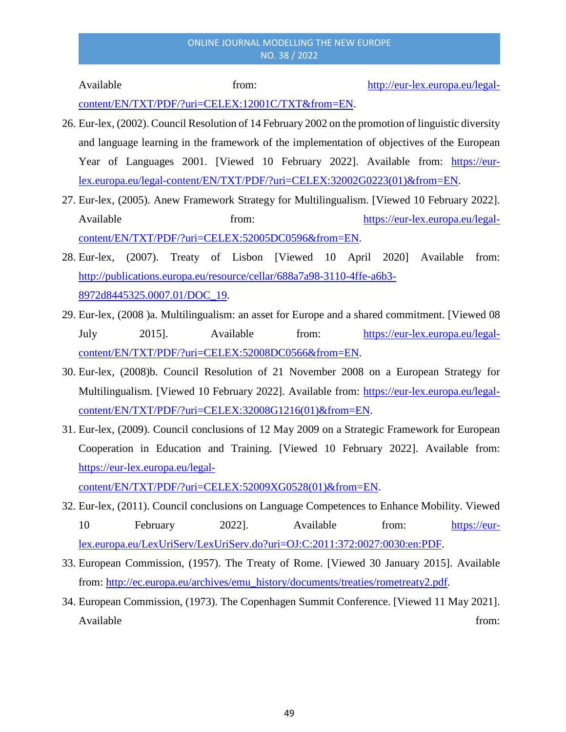Available from: [http://eur-lex.europa.eu/legal-](http://eur-lex.europa.eu/legal-content/EN/TXT/PDF/?uri=CELEX:12001C/TXT&from=EN)

[content/EN/TXT/PDF/?uri=CELEX:12001C/TXT&from=EN.](http://eur-lex.europa.eu/legal-content/EN/TXT/PDF/?uri=CELEX:12001C/TXT&from=EN)

- 26. Eur-lex, (2002). Council Resolution of 14 February 2002 on the promotion of linguistic diversity and language learning in the framework of the implementation of objectives of the European Year of Languages 2001. [Viewed 10 February 2022]. Available from: [https://eur](https://eur-lex.europa.eu/legal-content/EN/TXT/PDF/?uri=CELEX:32002G0223(01)&from=EN)[lex.europa.eu/legal-content/EN/TXT/PDF/?uri=CELEX:32002G0223\(01\)&from=EN.](https://eur-lex.europa.eu/legal-content/EN/TXT/PDF/?uri=CELEX:32002G0223(01)&from=EN)
- 27. Eur-lex, (2005). Anew Framework Strategy for Multilingualism. [Viewed 10 February 2022]. Available from: [https://eur-lex.europa.eu/legal](https://eur-lex.europa.eu/legal-content/EN/TXT/PDF/?uri=CELEX:52005DC0596&from=EN)[content/EN/TXT/PDF/?uri=CELEX:52005DC0596&from=EN.](https://eur-lex.europa.eu/legal-content/EN/TXT/PDF/?uri=CELEX:52005DC0596&from=EN)
- 28. Eur-lex, (2007). Treaty of Lisbon [Viewed 10 April 2020] Available from: [http://publications.europa.eu/resource/cellar/688a7a98-3110-4ffe-a6b3-](http://publications.europa.eu/resource/cellar/688a7a98-3110-4ffe-a6b3-8972d8445325.0007.01/DOC_19) [8972d8445325.0007.01/DOC\\_19.](http://publications.europa.eu/resource/cellar/688a7a98-3110-4ffe-a6b3-8972d8445325.0007.01/DOC_19)
- 29. Eur-lex, (2008 )a. Multilingualism: an asset for Europe and a shared commitment. [Viewed 08 July 2015]. Available from: [https://eur-lex.europa.eu/legal](https://eur-lex.europa.eu/legal-content/EN/TXT/PDF/?uri=CELEX:52008DC0566&from=EN)[content/EN/TXT/PDF/?uri=CELEX:52008DC0566&from=EN.](https://eur-lex.europa.eu/legal-content/EN/TXT/PDF/?uri=CELEX:52008DC0566&from=EN)
- 30. Eur-lex, (2008)b. Council Resolution of 21 November 2008 on a European Strategy for Multilingualism. [Viewed 10 February 2022]. Available from: [https://eur-lex.europa.eu/legal](https://eur-lex.europa.eu/legal-content/EN/TXT/PDF/?uri=CELEX:32008G1216(01)&from=EN)[content/EN/TXT/PDF/?uri=CELEX:32008G1216\(01\)&from=EN.](https://eur-lex.europa.eu/legal-content/EN/TXT/PDF/?uri=CELEX:32008G1216(01)&from=EN)
- 31. Eur-lex, (2009). Council conclusions of 12 May 2009 on a Strategic Framework for European Cooperation in Education and Training. [Viewed 10 February 2022]. Available from: [https://eur-lex.europa.eu/legal-](https://eur-lex.europa.eu/legal-content/EN/TXT/PDF/?uri=CELEX:52009XG0528(01)&from=EN)

[content/EN/TXT/PDF/?uri=CELEX:52009XG0528\(01\)&from=EN.](https://eur-lex.europa.eu/legal-content/EN/TXT/PDF/?uri=CELEX:52009XG0528(01)&from=EN)

- 32. Eur-lex, (2011). Council conclusions on Language Competences to Enhance Mobility. Viewed 10 February 2022]. Available from: [https://eur](https://eur-lex.europa.eu/LexUriServ/LexUriServ.do?uri=OJ:C:2011:372:0027:0030:en:PDF)[lex.europa.eu/LexUriServ/LexUriServ.do?uri=OJ:C:2011:372:0027:0030:en:PDF.](https://eur-lex.europa.eu/LexUriServ/LexUriServ.do?uri=OJ:C:2011:372:0027:0030:en:PDF)
- 33. European Commission, (1957). The Treaty of Rome. [Viewed 30 January 2015]. Available from: [http://ec.europa.eu/archives/emu\\_history/documents/treaties/rometreaty2.pdf.](http://ec.europa.eu/archives/emu_history/documents/treaties/rometreaty2.pdf)
- 34. European Commission, (1973). The Copenhagen Summit Conference. [Viewed 11 May 2021]. Available from: the contract of the contract of the contract of the contract of the contract of the contract of the contract of the contract of the contract of the contract of the contract of the contract of the contract o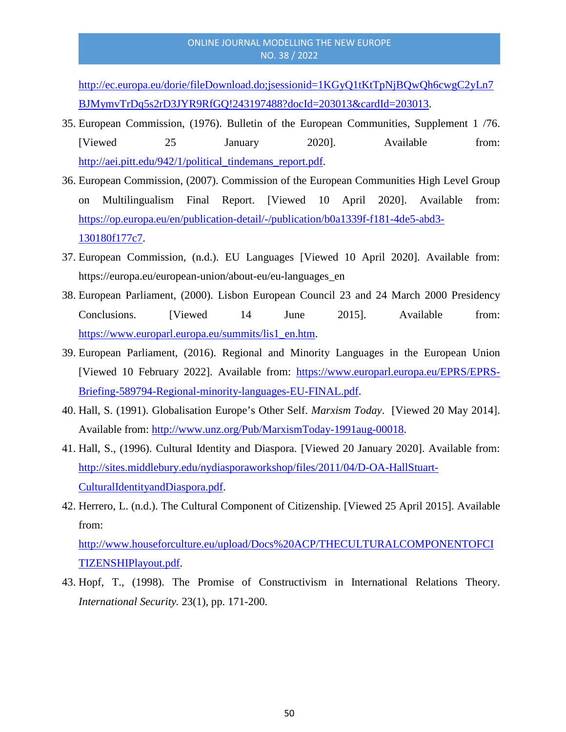[http://ec.europa.eu/dorie/fileDownload.do;jsessionid=1KGyQ1tKtTpNjBQwQh6cwgC2yLn7](http://ec.europa.eu/dorie/fileDownload.do;jsessionid=1KGyQ1tKtTpNjBQwQh6cwgC2yLn7BJMymvTrDq5s2rD3JYR9RfGQ!243197488?docId=203013&cardId=203013) [BJMymvTrDq5s2rD3JYR9RfGQ!243197488?docId=203013&cardId=203013.](http://ec.europa.eu/dorie/fileDownload.do;jsessionid=1KGyQ1tKtTpNjBQwQh6cwgC2yLn7BJMymvTrDq5s2rD3JYR9RfGQ!243197488?docId=203013&cardId=203013)

- 35. European Commission, (1976). Bulletin of the European Communities, Supplement 1 /76. [Viewed 25 January 2020]. Available from: [http://aei.pitt.edu/942/1/political\\_tindemans\\_report.pdf.](http://aei.pitt.edu/942/1/political_tindemans_report.pdf)
- 36. European Commission, (2007). Commission of the European Communities High Level Group on Multilingualism Final Report. [Viewed 10 April 2020]. Available from: [https://op.europa.eu/en/publication-detail/-/publication/b0a1339f-f181-4de5-abd3-](https://op.europa.eu/en/publication-detail/-/publication/b0a1339f-f181-4de5-abd3-130180f177c7) [130180f177c7.](https://op.europa.eu/en/publication-detail/-/publication/b0a1339f-f181-4de5-abd3-130180f177c7)
- 37. European Commission, (n.d.). EU Languages [Viewed 10 April 2020]. Available from: https://europa.eu/european-union/about-eu/eu-languages\_en
- 38. European Parliament, (2000). Lisbon European Council 23 and 24 March 2000 Presidency Conclusions. [Viewed 14 June 2015]. Available from: [https://www.europarl.europa.eu/summits/lis1\\_en.htm.](https://www.europarl.europa.eu/summits/lis1_en.htm)
- 39. European Parliament, (2016). Regional and Minority Languages in the European Union [Viewed 10 February 2022]. Available from: [https://www.europarl.europa.eu/EPRS/EPRS-](https://www.europarl.europa.eu/EPRS/EPRS-Briefing-589794-Regional-minority-languages-EU-FINAL.pdf)[Briefing-589794-Regional-minority-languages-EU-FINAL.pdf.](https://www.europarl.europa.eu/EPRS/EPRS-Briefing-589794-Regional-minority-languages-EU-FINAL.pdf)
- 40. Hall, S. (1991). Globalisation Europe's Other Self. *Marxism Today*. [Viewed 20 May 2014]. Available from: [http://www.unz.org/Pub/MarxismToday-1991aug-00018.](http://www.unz.org/Pub/MarxismToday-1991aug-00018)
- 41. Hall, S., (1996). Cultural Identity and Diaspora. [Viewed 20 January 2020]. Available from: [http://sites.middlebury.edu/nydiasporaworkshop/files/2011/04/D-OA-HallStuart-](http://sites.middlebury.edu/nydiasporaworkshop/files/2011/04/D-OA-HallStuart-CulturalIdentityandDiaspora.pdf)[CulturalIdentityandDiaspora.pdf.](http://sites.middlebury.edu/nydiasporaworkshop/files/2011/04/D-OA-HallStuart-CulturalIdentityandDiaspora.pdf)
- 42. Herrero, L. (n.d.). The Cultural Component of Citizenship. [Viewed 25 April 2015]. Available from:

[http://www.houseforculture.eu/upload/Docs%20ACP/THECULTURALCOMPONENTOFCI](http://www.houseforculture.eu/upload/Docs%20ACP/THECULTURALCOMPONENTOFCITIZENSHIPlayout.pdf) [TIZENSHIPlayout.pdf.](http://www.houseforculture.eu/upload/Docs%20ACP/THECULTURALCOMPONENTOFCITIZENSHIPlayout.pdf)

43. Hopf, T., (1998). The Promise of Constructivism in International Relations Theory. *International Security.* 23(1), pp. 171-200.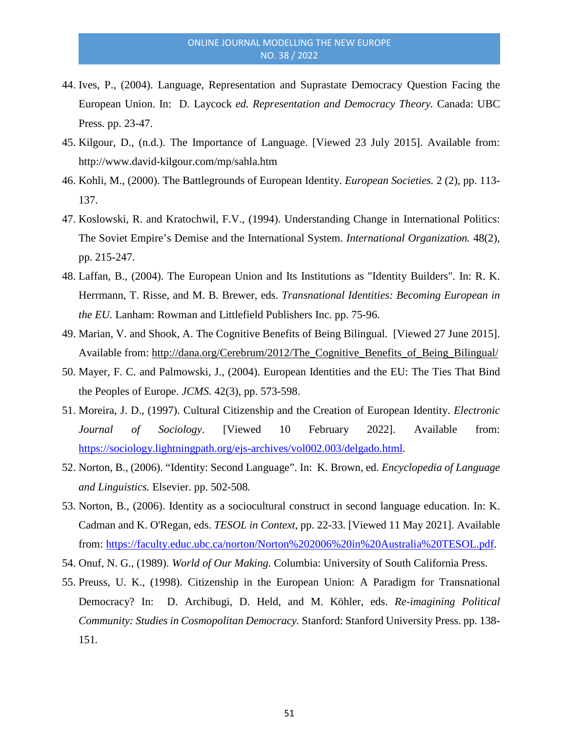- 44. Ives, P., (2004). Language, Representation and Suprastate Democracy Question Facing the European Union. In: D. Laycock *ed. Representation and Democracy Theory.* Canada: UBC Press. pp. 23-47.
- 45. Kilgour, D., (n.d.). The Importance of Language. [Viewed 23 July 2015]. Available from: http://www.david-kilgour.com/mp/sahla.htm
- 46. Kohli, M., (2000). The Battlegrounds of European Identity. *European Societies.* 2 (2), pp. 113- 137.
- 47. Koslowski, R. and Kratochwil, F.V., (1994). Understanding Change in International Politics: The Soviet Empire's Demise and the International System. *International Organization.* 48(2), pp. 215-247.
- 48. Laffan, B., (2004). The European Union and Its Institutions as "Identity Builders". In: R. K. Herrmann, T. Risse, and M. B. Brewer, eds. *Transnational Identities: Becoming European in the EU.* Lanham: Rowman and Littlefield Publishers Inc. pp. 75-96.
- 49. Marian, V. and Shook, A. The Cognitive Benefits of Being Bilingual. [Viewed 27 June 2015]. Available from: [http://dana.org/Cerebrum/2012/The\\_Cognitive\\_Benefits\\_of\\_Being\\_Bilingual/](http://dana.org/Cerebrum/2012/The_Cognitive_Benefits_of_Being_Bilingual/)
- 50. Mayer, F. C. and Palmowski, J., (2004). European Identities and the EU: The Ties That Bind the Peoples of Europe. *JCMS.* 42(3), pp. 573-598.
- 51. Moreira, J. D., (1997). Cultural Citizenship and the Creation of European Identity. *Electronic Journal of Sociology*. [Viewed 10 February 2022]. Available from: [https://sociology.lightningpath.org/ejs-archives/vol002.003/delgado.html.](https://sociology.lightningpath.org/ejs-archives/vol002.003/delgado.html)
- 52. Norton, B., (2006). "Identity: Second Language". In: K. Brown, ed. *Encyclopedia of Language and Linguistics.* Elsevier. pp. 502-508*.*
- 53. Norton, B., (2006). Identity as a sociocultural construct in second language education. In: K. Cadman and K. O'Regan, eds. *TESOL in Context*, pp. 22-33. [Viewed 11 May 2021]. Available from: [https://faculty.educ.ubc.ca/norton/Norton%202006%20in%20Australia%20TESOL.pdf.](https://faculty.educ.ubc.ca/norton/Norton%202006%20in%20Australia%20TESOL.pdf)
- 54. Onuf, N. G., (1989). *World of Our Making.* Columbia: University of South California Press.
- 55. Preuss, U. K., (1998). Citizenship in the European Union: A Paradigm for Transnational Democracy? In: D. Archibugi, D. Held, and M. Köhler, eds. *Re-imagining Political Community: Studies in Cosmopolitan Democracy.* Stanford: Stanford University Press. pp. 138- 151*.*